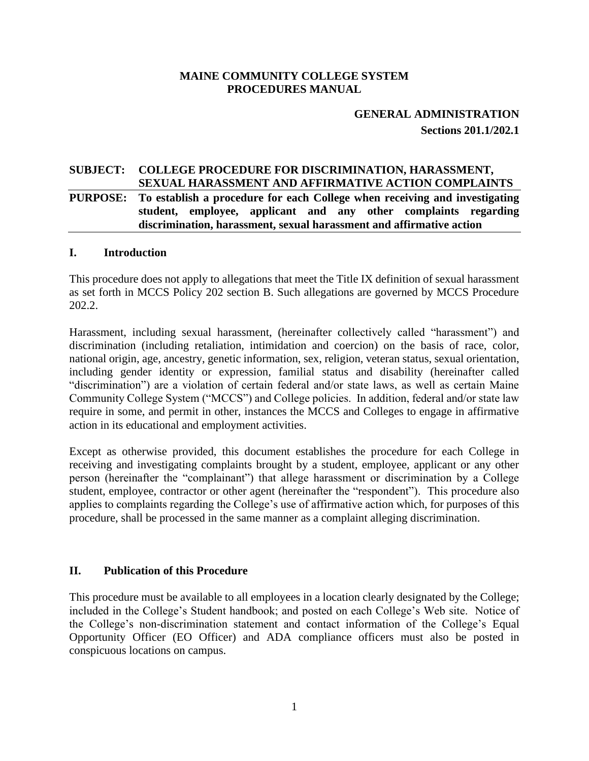#### **MAINE COMMUNITY COLLEGE SYSTEM PROCEDURES MANUAL**

# **GENERAL ADMINISTRATION Sections 201.1/202.1**

# **SUBJECT: COLLEGE PROCEDURE FOR DISCRIMINATION, HARASSMENT, SEXUAL HARASSMENT AND AFFIRMATIVE ACTION COMPLAINTS**

### **PURPOSE: To establish a procedure for each College when receiving and investigating student, employee, applicant and any other complaints regarding discrimination, harassment, sexual harassment and affirmative action**

#### **I. Introduction**

This procedure does not apply to allegations that meet the Title IX definition of sexual harassment as set forth in MCCS Policy 202 section B. Such allegations are governed by MCCS Procedure 202.2.

Harassment, including sexual harassment, (hereinafter collectively called "harassment") and discrimination (including retaliation, intimidation and coercion) on the basis of race, color, national origin, age, ancestry, genetic information, sex, religion, veteran status, sexual orientation, including gender identity or expression, familial status and disability (hereinafter called "discrimination") are a violation of certain federal and/or state laws, as well as certain Maine Community College System ("MCCS") and College policies. In addition, federal and/or state law require in some, and permit in other, instances the MCCS and Colleges to engage in affirmative action in its educational and employment activities.

Except as otherwise provided, this document establishes the procedure for each College in receiving and investigating complaints brought by a student, employee, applicant or any other person (hereinafter the "complainant") that allege harassment or discrimination by a College student, employee, contractor or other agent (hereinafter the "respondent"). This procedure also applies to complaints regarding the College's use of affirmative action which, for purposes of this procedure, shall be processed in the same manner as a complaint alleging discrimination.

#### **II. Publication of this Procedure**

This procedure must be available to all employees in a location clearly designated by the College; included in the College's Student handbook; and posted on each College's Web site. Notice of the College's non-discrimination statement and contact information of the College's Equal Opportunity Officer (EO Officer) and ADA compliance officers must also be posted in conspicuous locations on campus.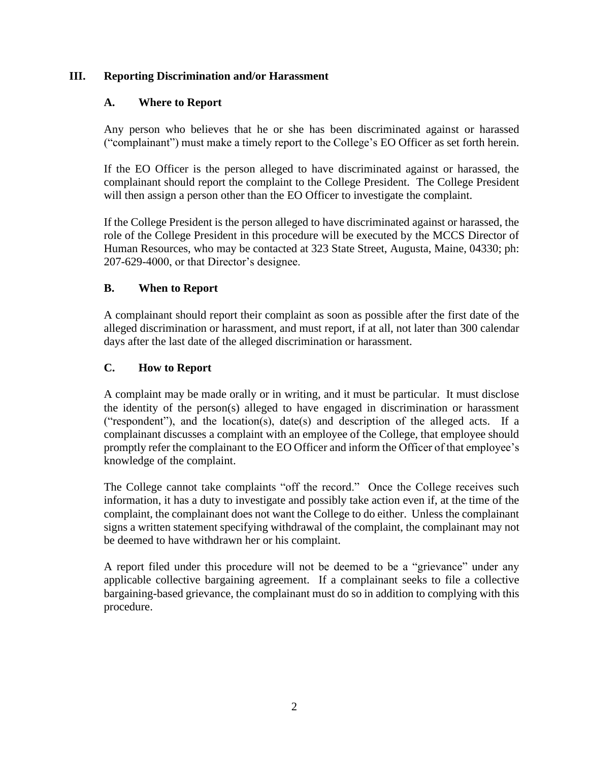### **III. Reporting Discrimination and/or Harassment**

## **A. Where to Report**

Any person who believes that he or she has been discriminated against or harassed ("complainant") must make a timely report to the College's EO Officer as set forth herein.

If the EO Officer is the person alleged to have discriminated against or harassed, the complainant should report the complaint to the College President. The College President will then assign a person other than the EO Officer to investigate the complaint.

If the College President is the person alleged to have discriminated against or harassed, the role of the College President in this procedure will be executed by the MCCS Director of Human Resources, who may be contacted at 323 State Street, Augusta, Maine, 04330; ph: 207-629-4000, or that Director's designee.

## **B. When to Report**

A complainant should report their complaint as soon as possible after the first date of the alleged discrimination or harassment, and must report, if at all, not later than 300 calendar days after the last date of the alleged discrimination or harassment.

## **C. How to Report**

A complaint may be made orally or in writing, and it must be particular. It must disclose the identity of the person(s) alleged to have engaged in discrimination or harassment ("respondent"), and the location(s), date(s) and description of the alleged acts. If a complainant discusses a complaint with an employee of the College, that employee should promptly refer the complainant to the EO Officer and inform the Officer of that employee's knowledge of the complaint.

The College cannot take complaints "off the record." Once the College receives such information, it has a duty to investigate and possibly take action even if, at the time of the complaint, the complainant does not want the College to do either. Unless the complainant signs a written statement specifying withdrawal of the complaint, the complainant may not be deemed to have withdrawn her or his complaint.

A report filed under this procedure will not be deemed to be a "grievance" under any applicable collective bargaining agreement. If a complainant seeks to file a collective bargaining-based grievance, the complainant must do so in addition to complying with this procedure.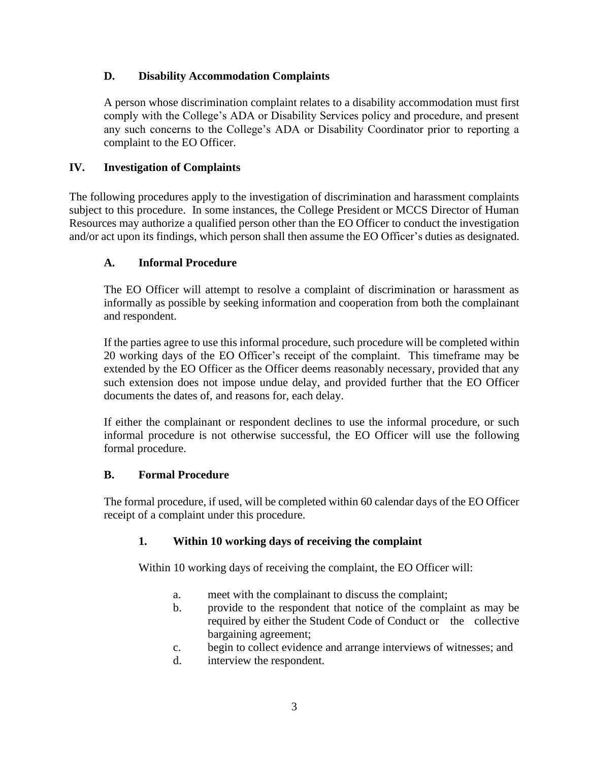## **D. Disability Accommodation Complaints**

A person whose discrimination complaint relates to a disability accommodation must first comply with the College's ADA or Disability Services policy and procedure, and present any such concerns to the College's ADA or Disability Coordinator prior to reporting a complaint to the EO Officer.

## **IV. Investigation of Complaints**

The following procedures apply to the investigation of discrimination and harassment complaints subject to this procedure. In some instances, the College President or MCCS Director of Human Resources may authorize a qualified person other than the EO Officer to conduct the investigation and/or act upon its findings, which person shall then assume the EO Officer's duties as designated.

## **A. Informal Procedure**

The EO Officer will attempt to resolve a complaint of discrimination or harassment as informally as possible by seeking information and cooperation from both the complainant and respondent.

If the parties agree to use this informal procedure, such procedure will be completed within 20 working days of the EO Officer's receipt of the complaint. This timeframe may be extended by the EO Officer as the Officer deems reasonably necessary, provided that any such extension does not impose undue delay, and provided further that the EO Officer documents the dates of, and reasons for, each delay.

If either the complainant or respondent declines to use the informal procedure, or such informal procedure is not otherwise successful, the EO Officer will use the following formal procedure.

### **B. Formal Procedure**

The formal procedure, if used, will be completed within 60 calendar days of the EO Officer receipt of a complaint under this procedure.

### **1. Within 10 working days of receiving the complaint**

Within 10 working days of receiving the complaint, the EO Officer will:

- a. meet with the complainant to discuss the complaint;
- b. provide to the respondent that notice of the complaint as may be required by either the Student Code of Conduct or the collective bargaining agreement;
- c. begin to collect evidence and arrange interviews of witnesses; and
- d. interview the respondent.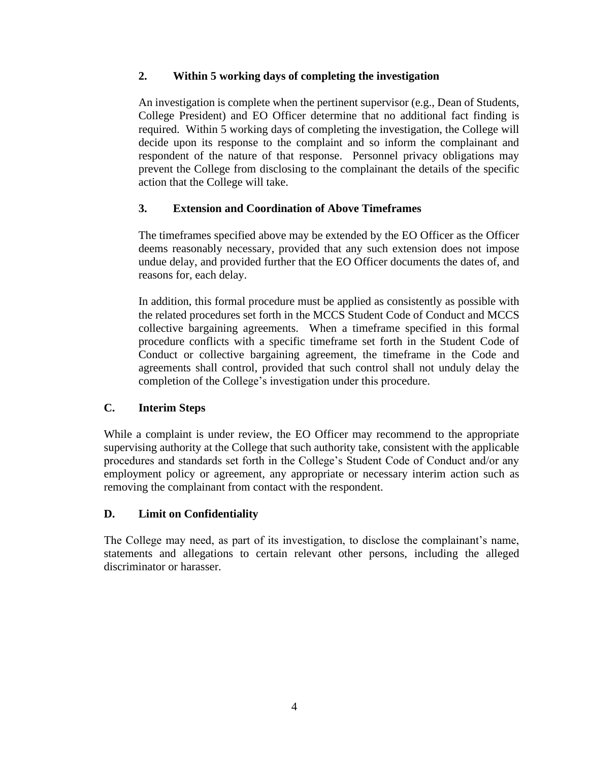## **2. Within 5 working days of completing the investigation**

An investigation is complete when the pertinent supervisor (e.g., Dean of Students, College President) and EO Officer determine that no additional fact finding is required. Within 5 working days of completing the investigation, the College will decide upon its response to the complaint and so inform the complainant and respondent of the nature of that response. Personnel privacy obligations may prevent the College from disclosing to the complainant the details of the specific action that the College will take.

# **3. Extension and Coordination of Above Timeframes**

The timeframes specified above may be extended by the EO Officer as the Officer deems reasonably necessary, provided that any such extension does not impose undue delay, and provided further that the EO Officer documents the dates of, and reasons for, each delay.

In addition, this formal procedure must be applied as consistently as possible with the related procedures set forth in the MCCS Student Code of Conduct and MCCS collective bargaining agreements. When a timeframe specified in this formal procedure conflicts with a specific timeframe set forth in the Student Code of Conduct or collective bargaining agreement, the timeframe in the Code and agreements shall control, provided that such control shall not unduly delay the completion of the College's investigation under this procedure.

# **C. Interim Steps**

While a complaint is under review, the EO Officer may recommend to the appropriate supervising authority at the College that such authority take, consistent with the applicable procedures and standards set forth in the College's Student Code of Conduct and/or any employment policy or agreement, any appropriate or necessary interim action such as removing the complainant from contact with the respondent.

### **D. Limit on Confidentiality**

The College may need, as part of its investigation, to disclose the complainant's name, statements and allegations to certain relevant other persons, including the alleged discriminator or harasser.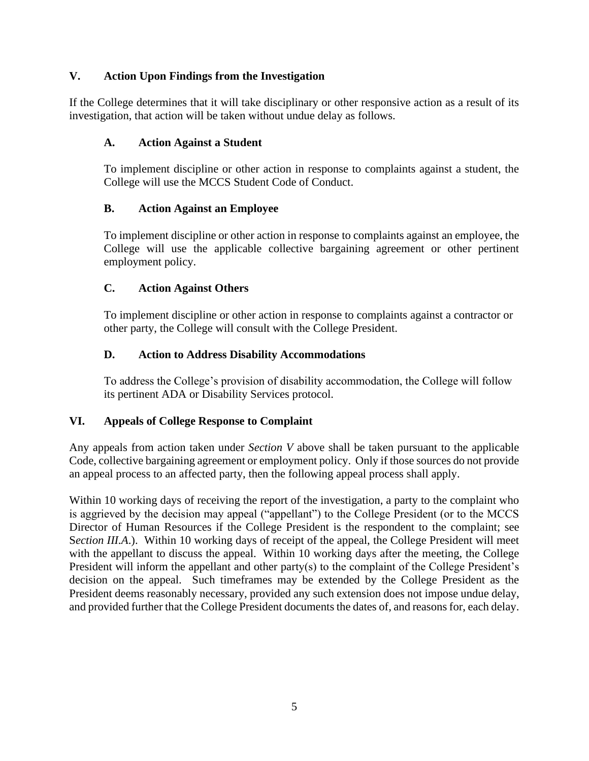## **V. Action Upon Findings from the Investigation**

If the College determines that it will take disciplinary or other responsive action as a result of its investigation, that action will be taken without undue delay as follows.

### **A. Action Against a Student**

To implement discipline or other action in response to complaints against a student, the College will use the MCCS Student Code of Conduct.

### **B. Action Against an Employee**

To implement discipline or other action in response to complaints against an employee, the College will use the applicable collective bargaining agreement or other pertinent employment policy.

## **C. Action Against Others**

To implement discipline or other action in response to complaints against a contractor or other party, the College will consult with the College President.

## **D. Action to Address Disability Accommodations**

To address the College's provision of disability accommodation, the College will follow its pertinent ADA or Disability Services protocol.

# **VI. Appeals of College Response to Complaint**

Any appeals from action taken under *Section V* above shall be taken pursuant to the applicable Code, collective bargaining agreement or employment policy. Only if those sources do not provide an appeal process to an affected party, then the following appeal process shall apply.

Within 10 working days of receiving the report of the investigation, a party to the complaint who is aggrieved by the decision may appeal ("appellant") to the College President (or to the MCCS Director of Human Resources if the College President is the respondent to the complaint; see S*ection III.A*.). Within 10 working days of receipt of the appeal, the College President will meet with the appellant to discuss the appeal. Within 10 working days after the meeting, the College President will inform the appellant and other party(s) to the complaint of the College President's decision on the appeal. Such timeframes may be extended by the College President as the President deems reasonably necessary, provided any such extension does not impose undue delay, and provided further that the College President documents the dates of, and reasons for, each delay.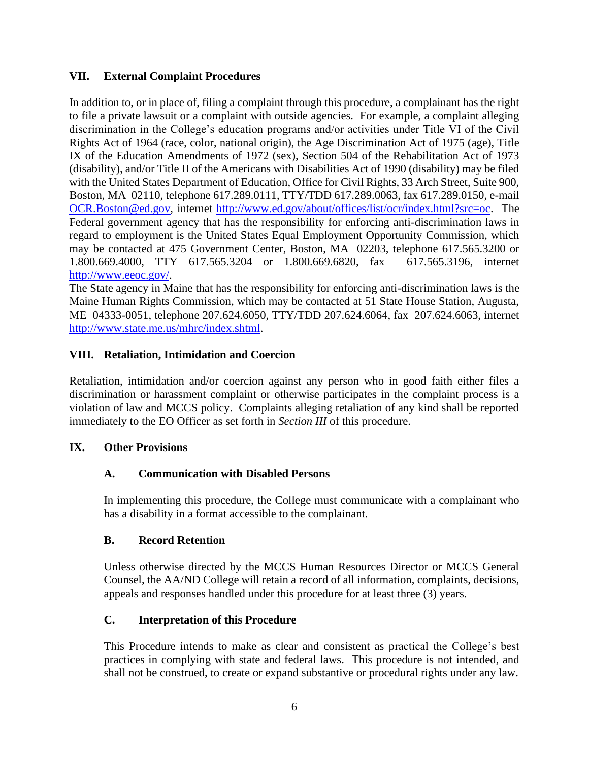### **VII. External Complaint Procedures**

In addition to, or in place of, filing a complaint through this procedure, a complainant has the right to file a private lawsuit or a complaint with outside agencies. For example, a complaint alleging discrimination in the College's education programs and/or activities under Title VI of the Civil Rights Act of 1964 (race, color, national origin), the Age Discrimination Act of 1975 (age), Title IX of the Education Amendments of 1972 (sex), Section 504 of the Rehabilitation Act of 1973 (disability), and/or Title II of the Americans with Disabilities Act of 1990 (disability) may be filed with the United States Department of Education, Office for Civil Rights, 33 Arch Street, Suite 900, Boston, MA 02110, telephone 617.289.0111, TTY/TDD 617.289.0063, fax 617.289.0150, e-mail [OCR.Boston@ed.gov,](mailto:OCR.Boston@ed.gov) internet [http://www.ed.gov/about/offices/list/ocr/index.html?src=oc.](http://www.ed.gov/about/offices/list/ocr/index.html?src=oc) The Federal government agency that has the responsibility for enforcing anti-discrimination laws in regard to employment is the United States Equal Employment Opportunity Commission, which may be contacted at 475 Government Center, Boston, MA 02203, telephone 617.565.3200 or 1.800.669.4000, TTY 617.565.3204 or 1.800.669.6820, fax 617.565.3196, internet [http://www.eeoc.gov/.](http://www.eeoc.gov/)

The State agency in Maine that has the responsibility for enforcing anti-discrimination laws is the Maine Human Rights Commission, which may be contacted at 51 State House Station, Augusta, ME 04333-0051, telephone 207.624.6050, TTY/TDD 207.624.6064, fax 207.624.6063, internet [http://www.state.me.us/mhrc/index.shtml.](http://www.state.me.us/mhrc/index.shtml)

## **VIII. Retaliation, Intimidation and Coercion**

Retaliation, intimidation and/or coercion against any person who in good faith either files a discrimination or harassment complaint or otherwise participates in the complaint process is a violation of law and MCCS policy. Complaints alleging retaliation of any kind shall be reported immediately to the EO Officer as set forth in *Section III* of this procedure.

### **IX. Other Provisions**

### **A. Communication with Disabled Persons**

In implementing this procedure, the College must communicate with a complainant who has a disability in a format accessible to the complainant.

### **B. Record Retention**

Unless otherwise directed by the MCCS Human Resources Director or MCCS General Counsel, the AA/ND College will retain a record of all information, complaints, decisions, appeals and responses handled under this procedure for at least three (3) years.

### **C. Interpretation of this Procedure**

This Procedure intends to make as clear and consistent as practical the College's best practices in complying with state and federal laws. This procedure is not intended, and shall not be construed, to create or expand substantive or procedural rights under any law.